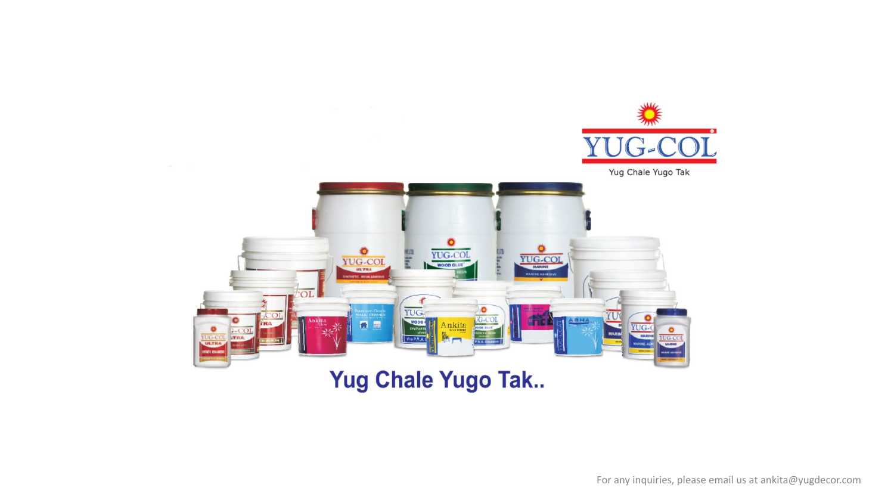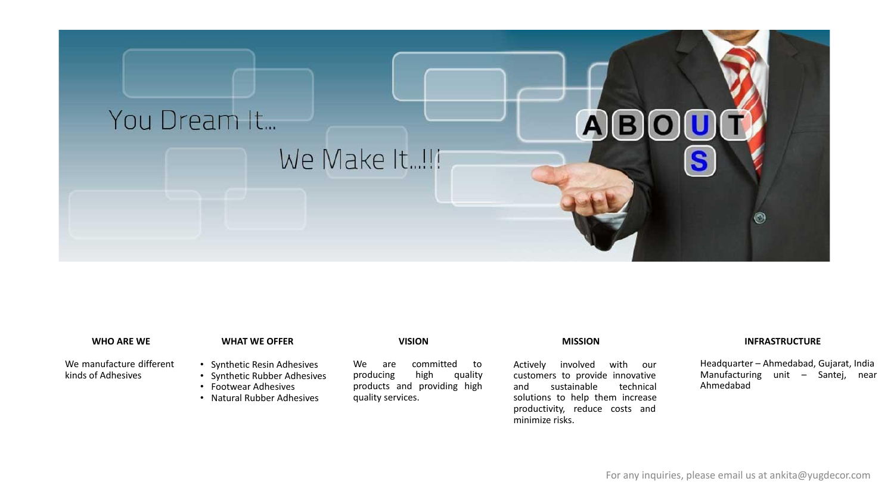

#### **WHO ARE WE**

We manufacture different

kinds of Adhesives

**WHAT WE OFFER MISSION**

- 
- Synthetic Resin Adhesives
- Synthetic Rubber Adhesives
- Footwear Adhesives
- Natural Rubber Adhesives

We are committed to<br>producing high quality producing high products and providing high quality services.

**VISION**

Actively involved with our customers to provide innovative<br>and sustainable technical sustainable solutions to help them increase productivity, reduce costs and minimize risks.

#### **INFRASTRUCTURE**

Headquarter – Ahmedabad, Gujarat, India Manufacturing unit – Santej, near Ahmedabad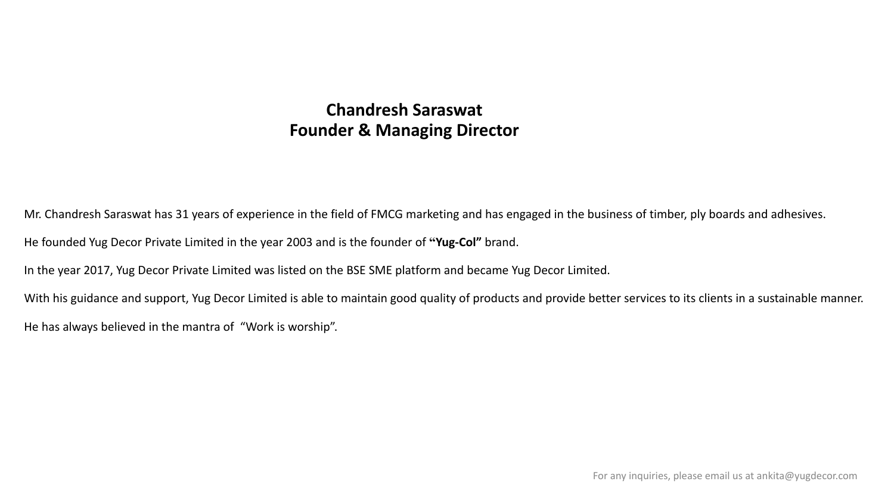### **Chandresh Saraswat Founder & Managing Director**

Mr. Chandresh Saraswat has 31 years of experience in the field of FMCG marketing and has engaged in the business of timber, ply boards and adhesives.

He founded Yug Decor Private Limited in the year 2003 and is the founder of **"Yug-Col"** brand.

In the year 2017, Yug Decor Private Limited was listed on the BSE SME platform and became Yug Decor Limited.

With his guidance and support, Yug Decor Limited is able to maintain good quality of products and provide better services to its clients in a sustainable manner. He has always believed in the mantra of "Work is worship".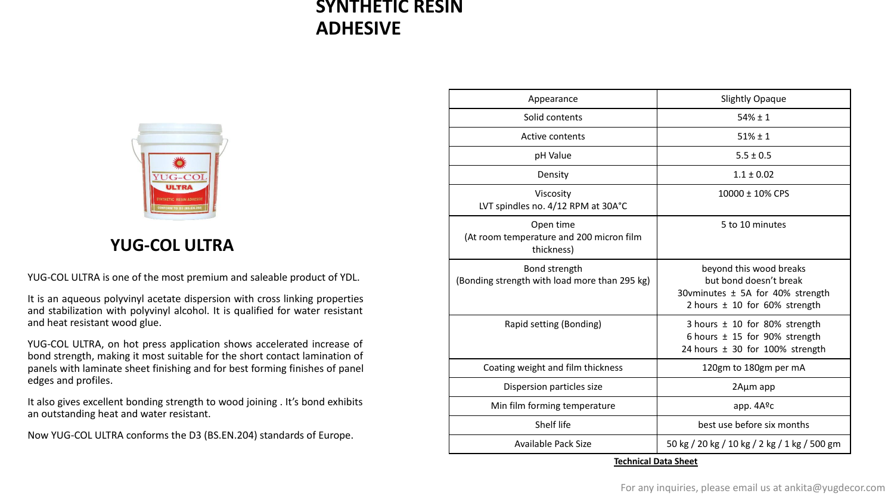### **SYNTHETIC RESIN ADHESIVE**



#### **YUG-COL ULTRA**

YUG-COL ULTRA is one of the most premium and saleable product of YDL.

It is an aqueous polyvinyl acetate dispersion with cross linking properties and stabilization with polyvinyl alcohol. It is qualified for water resistant and heat resistant wood glue.

YUG-COL ULTRA, on hot press application shows accelerated increase of bond strength, making it most suitable for the short contact lamination of panels with laminate sheet finishing and for best forming finishes of panel edges and profiles.

It also gives excellent bonding strength to wood joining . It's bond exhibits an outstanding heat and water resistant.

Now YUG-COL ULTRA conforms the D3 (BS.EN.204) standards of Europe.

| Appearance                                                          | <b>Slightly Opaque</b>                                                                                                     |  |
|---------------------------------------------------------------------|----------------------------------------------------------------------------------------------------------------------------|--|
| Solid contents                                                      | $54\% \pm 1$                                                                                                               |  |
| Active contents                                                     | $51\% \pm 1$                                                                                                               |  |
| pH Value                                                            | $5.5 \pm 0.5$                                                                                                              |  |
| Density                                                             | $1.1 \pm 0.02$                                                                                                             |  |
| Viscosity<br>LVT spindles no. 4/12 RPM at 30A°C                     | $10000 \pm 10\%$ CPS                                                                                                       |  |
| Open time<br>(At room temperature and 200 micron film<br>thickness) | 5 to 10 minutes                                                                                                            |  |
| Bond strength<br>(Bonding strength with load more than 295 kg)      | beyond this wood breaks<br>but bond doesn't break<br>30vminutes ± 5A for 40% strength<br>2 hours $\pm$ 10 for 60% strength |  |
| Rapid setting (Bonding)                                             | 3 hours ± 10 for 80% strength<br>6 hours $\pm$ 15 for 90% strength<br>24 hours ± 30 for 100% strength                      |  |
| Coating weight and film thickness                                   | 120gm to 180gm per mA                                                                                                      |  |
| Dispersion particles size                                           | 2Aµm app                                                                                                                   |  |
| Min film forming temperature                                        | app. 4Aºc                                                                                                                  |  |
| Shelf life                                                          | best use before six months                                                                                                 |  |
| <b>Available Pack Size</b>                                          | 50 kg / 20 kg / 10 kg / 2 kg / 1 kg / 500 gm                                                                               |  |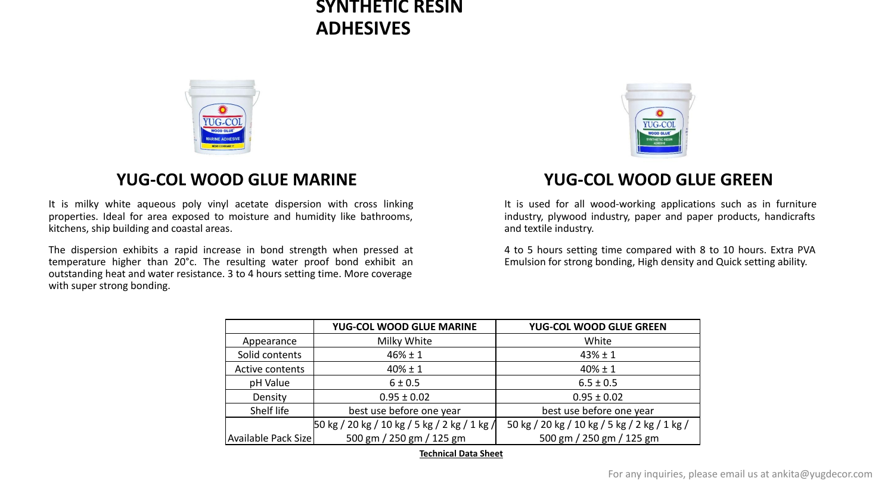### **SYNTHETIC RESIN ADHESIVES**



#### **YUG-COL WOOD GLUE MARINE**

It is milky white aqueous poly vinyl acetate dispersion with cross linking properties. Ideal for area exposed to moisture and humidity like bathrooms, kitchens, ship building and coastal areas.

The dispersion exhibits a rapid increase in bond strength when pressed at temperature higher than 20°c. The resulting water proof bond exhibit an outstanding heat and water resistance. 3 to 4 hours setting time. More coverage with super strong bonding.



#### **YUG-COL WOOD GLUE GREEN**

It is used for all wood-working applications such as in furniture industry, plywood industry, paper and paper products, handicrafts and textile industry.

4 to 5 hours setting time compared with 8 to 10 hours. Extra PVA Emulsion for strong bonding, High density and Quick setting ability.

|                     | YUG-COL WOOD GLUE MARINE                               | YUG-COL WOOD GLUE GREEN                      |  |
|---------------------|--------------------------------------------------------|----------------------------------------------|--|
| Appearance          | Milky White                                            | White                                        |  |
| Solid contents      | $46% \pm 1$                                            | $43% \pm 1$                                  |  |
| Active contents     | $40\% \pm 1$<br>$40\% \pm 1$                           |                                              |  |
| pH Value            | 6 ± 0.5                                                | $6.5 \pm 0.5$                                |  |
| Density             | $0.95 \pm 0.02$                                        | $0.95 \pm 0.02$                              |  |
| Shelf life          | best use before one year                               | best use before one year                     |  |
|                     | $50 \text{ kg}$ / 20 kg / 10 kg / 5 kg / 2 kg / 1 kg / | 50 kg / 20 kg / 10 kg / 5 kg / 2 kg / 1 kg / |  |
| Available Pack Size | 500 gm / 250 gm / 125 gm                               | 500 gm / 250 gm / 125 gm                     |  |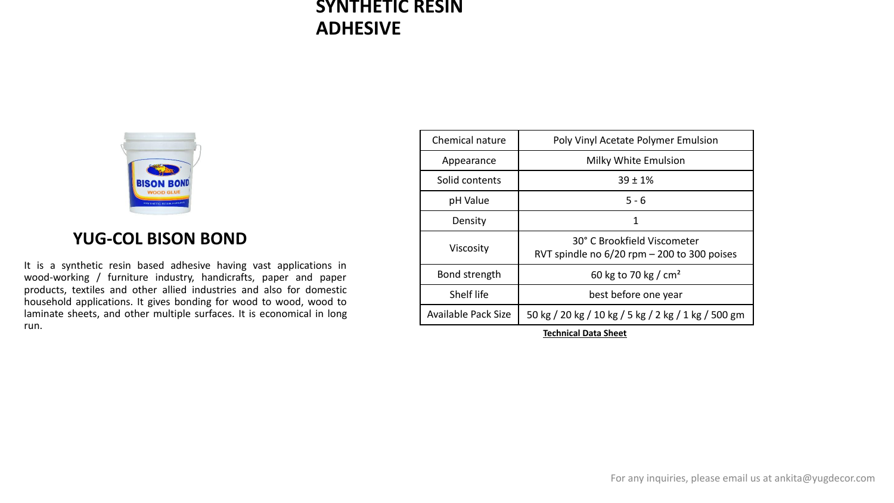### **SYNTHETIC RESIN ADHESIVE**



#### **YUG-COL BISON BOND**

It is a synthetic resin based adhesive having vast applications in wood-working / furniture industry, handicrafts, paper and paper products, textiles and other allied industries and also for domestic household applications. It gives bonding for wood to wood, wood to laminate sheets, and other multiple surfaces. It is economical in long run.

| Chemical nature             | Poly Vinyl Acetate Polymer Emulsion                                            |  |  |
|-----------------------------|--------------------------------------------------------------------------------|--|--|
| Appearance                  | Milky White Emulsion                                                           |  |  |
| Solid contents              | $39 + 1%$                                                                      |  |  |
| pH Value                    | $5 - 6$                                                                        |  |  |
| Density                     | 1                                                                              |  |  |
| Viscosity                   | 30° C Brookfield Viscometer<br>RVT spindle no $6/20$ rpm $-$ 200 to 300 poises |  |  |
| Bond strength               | 60 kg to 70 kg / $cm2$                                                         |  |  |
| Shelf life                  | best before one year                                                           |  |  |
| Available Pack Size         | 50 kg / 20 kg / 10 kg / 5 kg / 2 kg / 1 kg / 500 gm                            |  |  |
| <b>Technical Data Sheet</b> |                                                                                |  |  |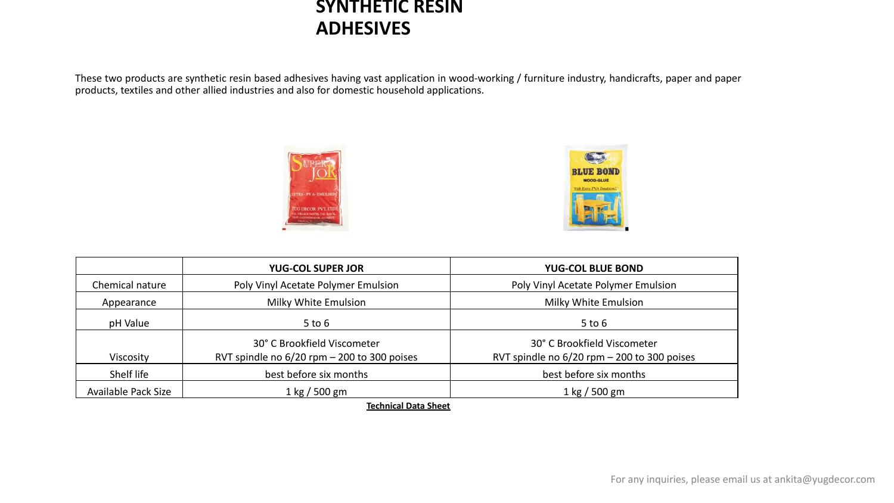#### **SYNTHETIC RESIN ADHESIVES**

These two products are synthetic resin based adhesives having vast application in wood-working / furniture industry, handicrafts, paper and paper products, textiles and other allied industries and also for domestic household applications.





|                     | <b>YUG-COL BLUE BOND</b><br><b>YUG-COL SUPER JOR</b>                       |                                                 |  |
|---------------------|----------------------------------------------------------------------------|-------------------------------------------------|--|
| Chemical nature     | Poly Vinyl Acetate Polymer Emulsion<br>Poly Vinyl Acetate Polymer Emulsion |                                                 |  |
| Appearance          | Milky White Emulsion                                                       | Milky White Emulsion                            |  |
| pH Value            | 5 to 6                                                                     | $5$ to $6$                                      |  |
|                     | 30° C Brookfield Viscometer                                                | 30° C Brookfield Viscometer                     |  |
| Viscosity           | RVT spindle no $6/20$ rpm $- 200$ to 300 poises                            | RVT spindle no $6/20$ rpm $- 200$ to 300 poises |  |
| Shelf life          | best before six months                                                     | best before six months                          |  |
| Available Pack Size | $1 \text{ kg} / 500 \text{ gm}$                                            | $1 \text{ kg} / 500 \text{ gm}$                 |  |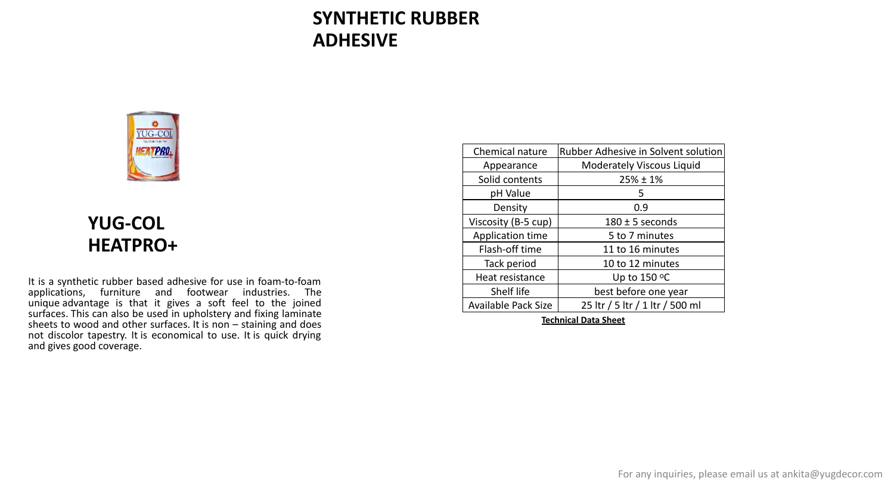## **SYNTHETIC RUBBER ADHESIVE**



## **YUG-COL HEATPRO+**

It is a synthetic rubber based adhesive for use in foam-to-foam applications, furniture and footwear industries. The unique advantage is that it gives a soft feel to the joined surfaces. This can also be used in upholstery and fixing laminate sheets to wood and other surfaces. It is non – staining and does not discolor tapestry. It is economical to use. It is quick drying and gives good coverage.

| Rubber Adhesive in Solvent solution |
|-------------------------------------|
| Moderately Viscous Liquid           |
| $25\% \pm 1\%$                      |
| 5                                   |
| 0.9                                 |
| $180 \pm 5$ seconds                 |
| 5 to 7 minutes                      |
| 11 to 16 minutes                    |
| 10 to 12 minutes                    |
| Up to $150 °C$                      |
| best before one year                |
| 25 ltr / 5 ltr / 1 ltr / 500 ml     |
|                                     |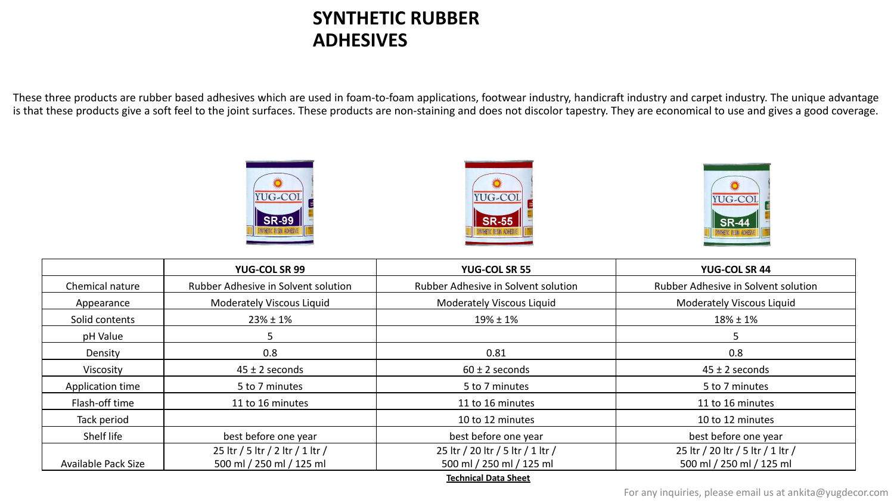# **SYNTHETIC RUBBER ADHESIVES**

These three products are rubber based adhesives which are used in foam-to-foam applications, footwear industry, handicraft industry and carpet industry. The unique advantage is that these products give a soft feel to the joint surfaces. These products are non-staining and does not discolor tapestry. They are economical to use and gives a good coverage.







| <b>YUG-COL SR 99</b>                | <b>YUG-COL SR 55</b>                | <b>YUG-COL SR 44</b>                |
|-------------------------------------|-------------------------------------|-------------------------------------|
| Rubber Adhesive in Solvent solution | Rubber Adhesive in Solvent solution | Rubber Adhesive in Solvent solution |
| Moderately Viscous Liquid           | Moderately Viscous Liquid           | Moderately Viscous Liquid           |
| $23\% \pm 1\%$                      | $19\% \pm 1\%$                      | $18\% \pm 1\%$                      |
|                                     |                                     |                                     |
| 0.8                                 | 0.81                                | 0.8                                 |
| $45 \pm 2$ seconds                  | $60 \pm 2$ seconds                  | $45 \pm 2$ seconds                  |
| 5 to 7 minutes                      | 5 to 7 minutes                      | 5 to 7 minutes                      |
| 11 to 16 minutes                    | 11 to 16 minutes                    | 11 to 16 minutes                    |
|                                     | 10 to 12 minutes                    | 10 to 12 minutes                    |
| best before one year                | best before one year                | best before one year                |
| 25 ltr / 5 ltr / 2 ltr / 1 ltr /    | 25 ltr / 20 ltr / 5 ltr / 1 ltr /   | 25 ltr / 20 ltr / 5 ltr / 1 ltr /   |
| 500 ml / 250 ml / 125 ml            | 500 ml / 250 ml / 125 ml            | 500 ml / 250 ml / 125 ml            |
|                                     |                                     |                                     |

**Technical Data Sheet**

For any inquiries, please email us at ankita@yugdecor.com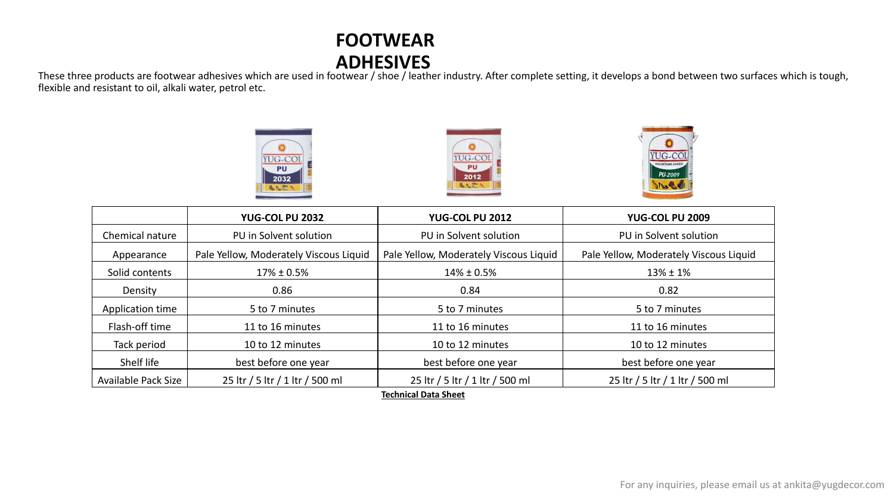## **FOOTWEAR ADHESIVES**

These three products are footwear adhesives which are used in footwear / shoe / leather industry. After complete setting, it develops a bond between two surfaces which is tough, flexible and resistant to oil, alkali water, petrol etc.







|                       | YUG-COL PU 2032                        | YUG-COL PU 2012                        | YUG-COL PU 2009                        |
|-----------------------|----------------------------------------|----------------------------------------|----------------------------------------|
| Chemical nature       | PU in Solvent solution                 | PU in Solvent solution                 | PU in Solvent solution                 |
| Appearance            | Pale Yellow, Moderately Viscous Liquid | Pale Yellow, Moderately Viscous Liquid | Pale Yellow, Moderately Viscous Liquid |
| Solid contents        | $17\% \pm 0.5\%$                       | $14\% \pm 0.5\%$                       | $13% \pm 1%$                           |
| Density               | 0.86                                   | 0.84                                   | 0.82                                   |
| Application time      | 5 to 7 minutes                         | 5 to 7 minutes                         | 5 to 7 minutes                         |
| Flash-off time        | 11 to 16 minutes                       | 11 to 16 minutes                       | 11 to 16 minutes                       |
| Tack period           | 10 to 12 minutes                       | 10 to 12 minutes                       | 10 to 12 minutes                       |
| Shelf life            | best before one year                   | best before one year                   | best before one year                   |
| Available Pack Size   | 25 ltr / 5 ltr / 1 ltr / 500 ml        | 25 ltr / 5 ltr / 1 ltr / 500 ml        | 25 ltr / 5 ltr / 1 ltr / 500 ml        |
| Tachatan I Bata Chart |                                        |                                        |                                        |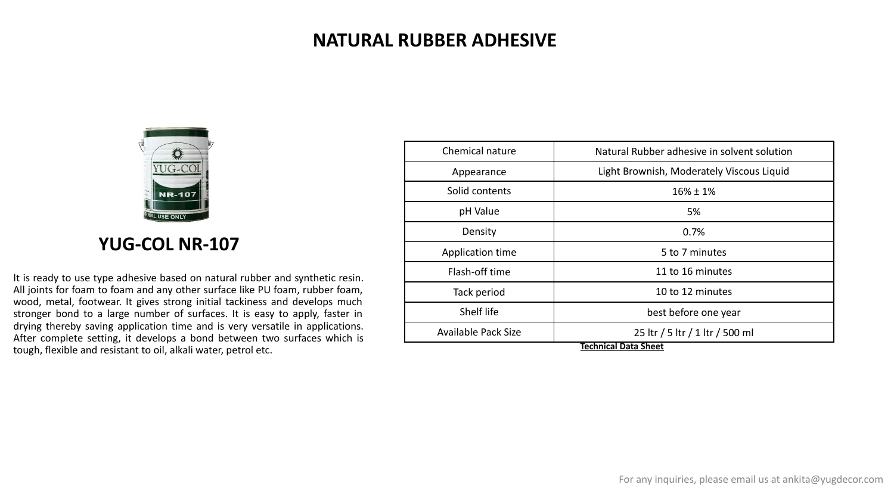## **NATURAL RUBBER ADHESIVE**



#### **YUG-COL NR-107**

It is ready to use type adhesive based on natural rubber and synthetic resin. All joints for foam to foam and any other surface like PU foam, rubber foam, wood, metal, footwear. It gives strong initial tackiness and develops much stronger bond to a large number of surfaces. It is easy to apply, faster in drying thereby saving application time and is very versatile in applications. After complete setting, it develops a bond between two surfaces which is tough, flexible and resistant to oil, alkali water, petrol etc.

| Chemical nature     | Natural Rubber adhesive in solvent solution |  |
|---------------------|---------------------------------------------|--|
| Appearance          | Light Brownish, Moderately Viscous Liquid   |  |
| Solid contents      | $16\% \pm 1\%$                              |  |
| pH Value            | 5%                                          |  |
| Density             | 0.7%                                        |  |
| Application time    | 5 to 7 minutes                              |  |
| Flash-off time      | 11 to 16 minutes                            |  |
| Tack period         | 10 to 12 minutes                            |  |
| Shelf life          | best before one year                        |  |
| Available Pack Size | 25 ltr / 5 ltr / 1 ltr / 500 ml             |  |
|                     | ティット・パット わっきょ アレッシャー                        |  |